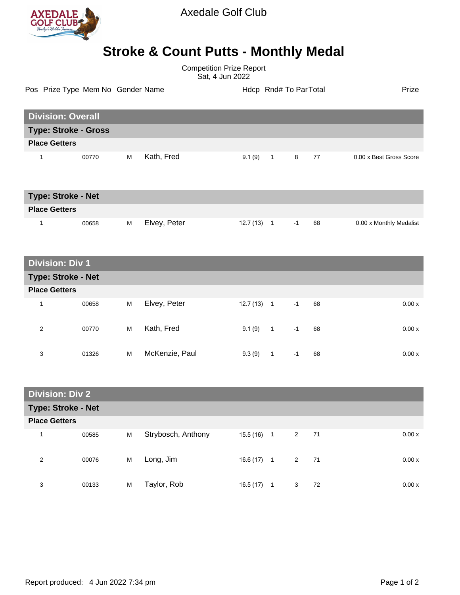

## Axedale Golf Club

## **Stroke & Count Putts - Monthly Medal**

Competition Prize Report Sat, 4 Jun 2022

Pos Prize Type Mem No Gender Name **Health Hotel Rnd# To ParTotal** Prize

| <b>Division: Overall</b>    |       |   |            |        |                |   |    |                         |
|-----------------------------|-------|---|------------|--------|----------------|---|----|-------------------------|
| <b>Type: Stroke - Gross</b> |       |   |            |        |                |   |    |                         |
| <b>Place Getters</b>        |       |   |            |        |                |   |    |                         |
|                             | 00770 | м | Kath, Fred | 9.1(9) | $\overline{1}$ | 8 | 77 | 0.00 x Best Gross Score |

| <b>Type: Stroke - Net</b> |       |   |              |           |     |    |                         |
|---------------------------|-------|---|--------------|-----------|-----|----|-------------------------|
| <b>Place Getters</b>      |       |   |              |           |     |    |                         |
|                           | 00658 | м | Elvey, Peter | 12.7 (13) | - I | 68 | 0.00 x Monthly Medalist |

| <b>Division: Div 1</b> |       |   |                |          |                          |      |    |       |
|------------------------|-------|---|----------------|----------|--------------------------|------|----|-------|
| Type: Stroke - Net     |       |   |                |          |                          |      |    |       |
| <b>Place Getters</b>   |       |   |                |          |                          |      |    |       |
| 1                      | 00658 | M | Elvey, Peter   | 12.7(13) | $\overline{\phantom{0}}$ | $-1$ | 68 | 0.00x |
| 2                      | 00770 | M | Kath, Fred     | 9.1(9)   | $\overline{1}$           | $-1$ | 68 | 0.00x |
| 3                      | 01326 | м | McKenzie, Paul | 9.3(9)   |                          | -1   | 68 | 0.00x |

| <b>Division: Div 2.</b>   |       |   |                    |              |   |   |    |       |
|---------------------------|-------|---|--------------------|--------------|---|---|----|-------|
| <b>Type: Stroke - Net</b> |       |   |                    |              |   |   |    |       |
| <b>Place Getters</b>      |       |   |                    |              |   |   |    |       |
|                           | 00585 | M | Strybosch, Anthony | $15.5(16)$ 1 |   | 2 | 71 | 0.00x |
| 2                         | 00076 | M | Long, Jim          | $16.6(17)$ 1 |   | 2 | 71 | 0.00x |
| 3                         | 00133 | M | Taylor, Rob        | 16.5(17)     | 1 | 3 | 72 | 0.00x |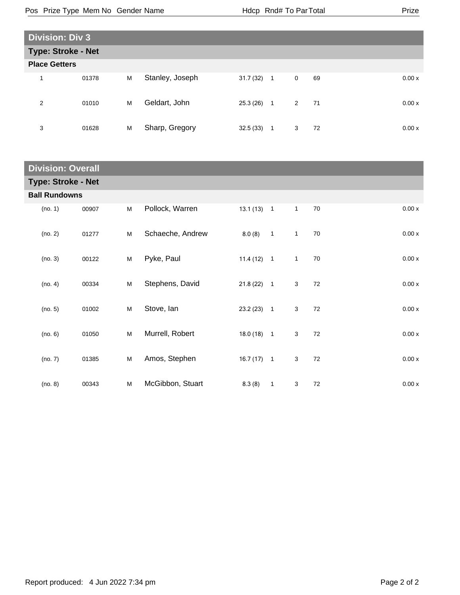| <b>Division: Div 3</b> |       |   |                 |           |                |                    |        |
|------------------------|-------|---|-----------------|-----------|----------------|--------------------|--------|
| Type: Stroke - Net     |       |   |                 |           |                |                    |        |
| <b>Place Getters</b>   |       |   |                 |           |                |                    |        |
| 1                      | 01378 | M | Stanley, Joseph | 31.7 (32) | $\overline{1}$ | $\mathbf 0$<br>69  | 0.00 x |
| 2                      | 01010 | M | Geldart, John   | 25.3 (26) | $\overline{1}$ | $2^{\circ}$<br>-71 | 0.00x  |
| 3                      | 01628 | M | Sharp, Gregory  | 32.5(33)  | $\mathbf{1}$   | 3<br>72            | 0.00x  |

| <b>Division: Overall</b>  |       |   |                  |              |                          |              |    |                    |
|---------------------------|-------|---|------------------|--------------|--------------------------|--------------|----|--------------------|
| <b>Type: Stroke - Net</b> |       |   |                  |              |                          |              |    |                    |
| <b>Ball Rundowns</b>      |       |   |                  |              |                          |              |    |                    |
| (no. 1)                   | 00907 | M | Pollock, Warren  | $13.1(13)$ 1 |                          | $\mathbf{1}$ | 70 | $0.00\,\mathrm{x}$ |
| (no. 2)                   | 01277 | M | Schaeche, Andrew | 8.0(8)       | $\overline{1}$           | $\mathbf{1}$ | 70 | 0.00x              |
| (no. 3)                   | 00122 | M | Pyke, Paul       | $11.4(12)$ 1 |                          | $\mathbf{1}$ | 70 | 0.00x              |
| (no. 4)                   | 00334 | M | Stephens, David  | 21.8(22)     | $\overline{\phantom{1}}$ | 3            | 72 | 0.00x              |
| (no. 5)                   | 01002 | M | Stove, Ian       | 23.2(23)     | $\overline{1}$           | 3            | 72 | 0.00x              |
| (no. 6)                   | 01050 | M | Murrell, Robert  | $18.0(18)$ 1 |                          | 3            | 72 | 0.00x              |
| (no. 7)                   | 01385 | M | Amos, Stephen    | $16.7(17)$ 1 |                          | 3            | 72 | 0.00x              |
| (no. 8)                   | 00343 | M | McGibbon, Stuart | 8.3(8)       | $\overline{1}$           | 3            | 72 | 0.00x              |